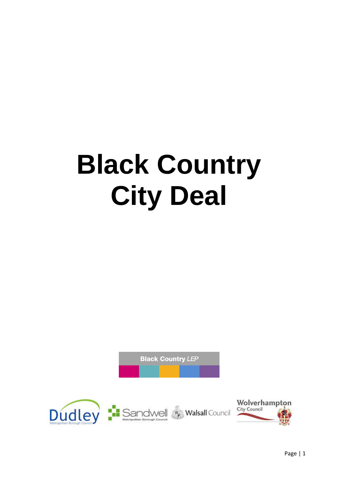# **Black Country City Deal**

**Black Country LEP** 

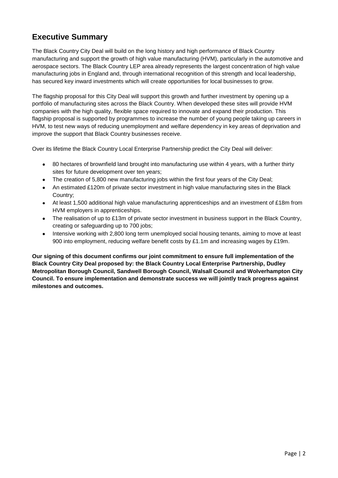# **Executive Summary**

The Black Country City Deal will build on the long history and high performance of Black Country manufacturing and support the growth of high value manufacturing (HVM), particularly in the automotive and aerospace sectors. The Black Country LEP area already represents the largest concentration of high value manufacturing jobs in England and, through international recognition of this strength and local leadership, has secured key inward investments which will create opportunities for local businesses to grow.

The flagship proposal for this City Deal will support this growth and further investment by opening up a portfolio of manufacturing sites across the Black Country. When developed these sites will provide HVM companies with the high quality, flexible space required to innovate and expand their production. This flagship proposal is supported by programmes to increase the number of young people taking up careers in HVM, to test new ways of reducing unemployment and welfare dependency in key areas of deprivation and improve the support that Black Country businesses receive.

Over its lifetime the Black Country Local Enterprise Partnership predict the City Deal will deliver:

- 80 hectares of brownfield land brought into manufacturing use within 4 years, with a further thirty  $\bullet$ sites for future development over ten years;
- The creation of 5,800 new manufacturing jobs within the first four years of the City Deal;  $\bullet$
- An estimated £120m of private sector investment in high value manufacturing sites in the Black Country;
- At least 1,500 additional high value manufacturing apprenticeships and an investment of £18m from  $\bullet$ HVM employers in apprenticeships.
- The realisation of up to £13m of private sector investment in business support in the Black Country,  $\bullet$ creating or safeguarding up to 700 jobs;
- Intensive working with 2,800 long term unemployed social housing tenants, aiming to move at least  $\bullet$ 900 into employment, reducing welfare benefit costs by £1.1m and increasing wages by £19m.

**Our signing of this document confirms our joint commitment to ensure full implementation of the Black Country City Deal proposed by: the Black Country Local Enterprise Partnership, Dudley Metropolitan Borough Council, Sandwell Borough Council, Walsall Council and Wolverhampton City Council. To ensure implementation and demonstrate success we will jointly track progress against milestones and outcomes.**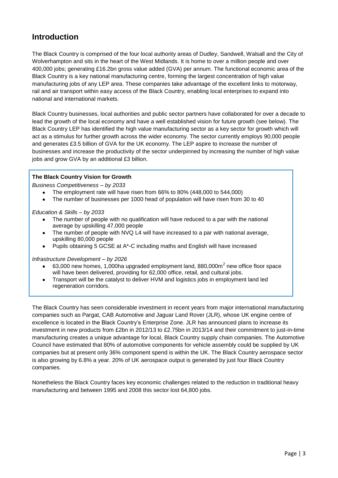## **Introduction**

The Black Country is comprised of the four local authority areas of Dudley, Sandwell, Walsall and the City of Wolverhampton and sits in the heart of the West Midlands. It is home to over a million people and over 400,000 jobs; generating £16.2bn gross value added (GVA) per annum. The functional economic area of the Black Country is a key national manufacturing centre, forming the largest concentration of high value manufacturing jobs of any LEP area. These companies take advantage of the excellent links to motorway, rail and air transport within easy access of the Black Country, enabling local enterprises to expand into national and international markets.

Black Country businesses, local authorities and public sector partners have collaborated for over a decade to lead the growth of the local economy and have a well established vision for future growth (see below). The Black Country LEP has identified the high value manufacturing sector as a key sector for growth which will act as a stimulus for further growth across the wider economy. The sector currently employs 90,000 people and generates £3.5 billion of GVA for the UK economy. The LEP aspire to increase the number of businesses and increase the productivity of the sector underpinned by increasing the number of high value jobs and grow GVA by an additional £3 billion.

#### **The Black Country Vision for Growth**

*Business Competitiveness – by 2033*

- The employment rate will have risen from 66% to 80% (448,000 to 544,000)
- The number of businesses per 1000 head of population will have risen from 30 to 40

#### *Education & Skills – by 2033*

- The number of people with no qualification will have reduced to a par with the national average by upskilling 47,000 people
- The number of people with NVQ L4 will have increased to a par with national average, upskilling 80,000 people
- Pupils obtaining 5 GCSE at A\*-C including maths and English will have increased  $\bullet$

#### *Infrastructure Development – by 2026*

- 63,000 new homes, 1,000ha upgraded employment land, 880,000 $m<sup>2</sup>$  new office floor space will have been delivered, providing for 62,000 office, retail, and cultural jobs.
- Transport will be the catalyst to deliver HVM and logistics jobs in employment land led  $\bullet$ regeneration corridors.

The Black Country has seen considerable investment in recent years from major international manufacturing companies such as Pargat, CAB Automotive and Jaguar Land Rover (JLR), whose UK engine centre of excellence is located in the Black Country's Enterprise Zone. JLR has announced plans to increase its investment in new products from £2bn in 2012/13 to £2.75bn in 2013/14 and their commitment to just-in-time manufacturing creates a unique advantage for local, Black Country supply chain companies. The Automotive Council have estimated that 80% of automotive components for vehicle assembly could be supplied by UK companies but at present only 36% component spend is within the UK. The Black Country aerospace sector is also growing by 6.8% a year. 20% of UK aerospace output is generated by just four Black Country companies.

Nonetheless the Black Country faces key economic challenges related to the reduction in traditional heavy manufacturing and between 1995 and 2008 this sector lost 64,800 jobs.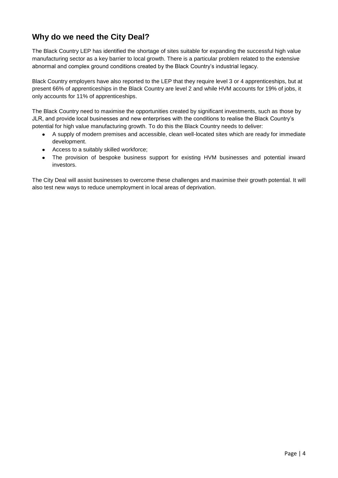# **Why do we need the City Deal?**

The Black Country LEP has identified the shortage of sites suitable for expanding the successful high value manufacturing sector as a key barrier to local growth. There is a particular problem related to the extensive abnormal and complex ground conditions created by the Black Country's industrial legacy.

Black Country employers have also reported to the LEP that they require level 3 or 4 apprenticeships, but at present 66% of apprenticeships in the Black Country are level 2 and while HVM accounts for 19% of jobs, it only accounts for 11% of apprenticeships.

The Black Country need to maximise the opportunities created by significant investments, such as those by JLR, and provide local businesses and new enterprises with the conditions to realise the Black Country's potential for high value manufacturing growth. To do this the Black Country needs to deliver:

- A supply of modern premises and accessible, clean well-located sites which are ready for immediate  $\bullet$ development.
- Access to a suitably skilled workforce;  $\bullet$
- The provision of bespoke business support for existing HVM businesses and potential inward investors.

The City Deal will assist businesses to overcome these challenges and maximise their growth potential. It will also test new ways to reduce unemployment in local areas of deprivation.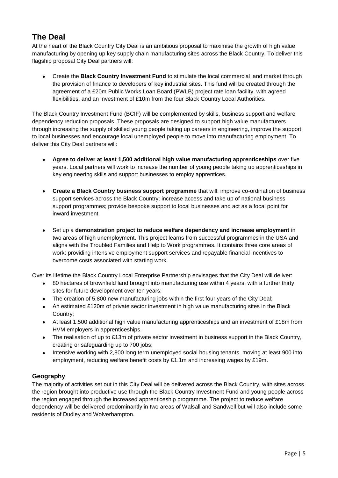# **The Deal**

At the heart of the Black Country City Deal is an ambitious proposal to maximise the growth of high value manufacturing by opening up key supply chain manufacturing sites across the Black Country. To deliver this flagship proposal City Deal partners will:

Create the **Black Country Investment Fund** to stimulate the local commercial land market through  $\bullet$ the provision of finance to developers of key industrial sites. This fund will be created through the agreement of a £20m Public Works Loan Board (PWLB) project rate loan facility, with agreed flexibilities, and an investment of £10m from the four Black Country Local Authorities.

The Black Country Investment Fund (BCIF) will be complemented by skills, business support and welfare dependency reduction proposals. These proposals are designed to support high value manufacturers through increasing the supply of skilled young people taking up careers in engineering, improve the support to local businesses and encourage local unemployed people to move into manufacturing employment. To deliver this City Deal partners will:

- **Agree to deliver at least 1,500 additional high value manufacturing apprenticeships** over five years. Local partners will work to increase the number of young people taking up apprenticeships in key engineering skills and support businesses to employ apprentices.
- **Create a Black Country business support programme** that will: improve co-ordination of business support services across the Black Country; increase access and take up of national business support programmes; provide bespoke support to local businesses and act as a focal point for inward investment.
- Set up a **demonstration project to reduce welfare dependency and increase employment** in  $\bullet$ two areas of high unemployment. This project learns from successful programmes in the USA and aligns with the Troubled Families and Help to Work programmes. It contains three core areas of work: providing intensive employment support services and repayable financial incentives to overcome costs associated with starting work.

Over its lifetime the Black Country Local Enterprise Partnership envisages that the City Deal will deliver:

- $\bullet$ 80 hectares of brownfield land brought into manufacturing use within 4 years, with a further thirty sites for future development over ten years;
- The creation of 5,800 new manufacturing jobs within the first four years of the City Deal;
- $\bullet$ An estimated £120m of private sector investment in high value manufacturing sites in the Black Country;
- At least 1,500 additional high value manufacturing apprenticeships and an investment of £18m from  $\bullet$ HVM employers in apprenticeships.
- $\bullet$ The realisation of up to £13m of private sector investment in business support in the Black Country, creating or safeguarding up to 700 jobs;
- Intensive working with 2,800 long term unemployed social housing tenants, moving at least 900 into  $\bullet$ employment, reducing welfare benefit costs by £1.1m and increasing wages by £19m.

#### **Geography**

The majority of activities set out in this City Deal will be delivered across the Black Country, with sites across the region brought into productive use through the Black Country Investment Fund and young people across the region engaged through the increased apprenticeship programme. The project to reduce welfare dependency will be delivered predominantly in two areas of Walsall and Sandwell but will also include some residents of Dudley and Wolverhampton.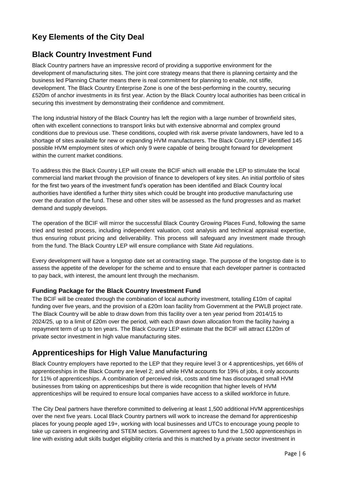# **Key Elements of the City Deal**

## **Black Country Investment Fund**

Black Country partners have an impressive record of providing a supportive environment for the development of manufacturing sites. The joint core strategy means that there is planning certainty and the business led Planning Charter means there is real commitment for planning to enable, not stifle, development. The Black Country Enterprise Zone is one of the best-performing in the country, securing £520m of anchor investments in its first year. Action by the Black Country local authorities has been critical in securing this investment by demonstrating their confidence and commitment.

The long industrial history of the Black Country has left the region with a large number of brownfield sites, often with excellent connections to transport links but with extensive abnormal and complex ground conditions due to previous use. These conditions, coupled with risk averse private landowners, have led to a shortage of sites available for new or expanding HVM manufacturers. The Black Country LEP identified 145 possible HVM employment sites of which only 9 were capable of being brought forward for development within the current market conditions.

To address this the Black Country LEP will create the BCIF which will enable the LEP to stimulate the local commercial land market through the provision of finance to developers of key sites. An initial portfolio of sites for the first two years of the investment fund's operation has been identified and Black Country local authorities have identified a further thirty sites which could be brought into productive manufacturing use over the duration of the fund. These and other sites will be assessed as the fund progresses and as market demand and supply develops.

The operation of the BCIF will mirror the successful Black Country Growing Places Fund, following the same tried and tested process, including independent valuation, cost analysis and technical appraisal expertise, thus ensuring robust pricing and deliverability. This process will safeguard any investment made through from the fund. The Black Country LEP will ensure compliance with State Aid regulations.

Every development will have a longstop date set at contracting stage. The purpose of the longstop date is to assess the appetite of the developer for the scheme and to ensure that each developer partner is contracted to pay back, with interest, the amount lent through the mechanism.

#### **Funding Package for the Black Country Investment Fund**

The BCIF will be created through the combination of local authority investment, totalling £10m of capital funding over five years, and the provision of a £20m loan facility from Government at the PWLB project rate. The Black Country will be able to draw down from this facility over a ten year period from 2014/15 to 2024/25, up to a limit of £20m over the period, with each drawn down allocation from the facility having a repayment term of up to ten years. The Black Country LEP estimate that the BCIF will attract £120m of private sector investment in high value manufacturing sites.

## **Apprenticeships for High Value Manufacturing**

Black Country employers have reported to the LEP that they require level 3 or 4 apprenticeships, yet 66% of apprenticeships in the Black Country are level 2; and while HVM accounts for 19% of jobs, it only accounts for 11% of apprenticeships. A combination of perceived risk, costs and time has discouraged small HVM businesses from taking on apprenticeships but there is wide recognition that higher levels of HVM apprenticeships will be required to ensure local companies have access to a skilled workforce in future.

The City Deal partners have therefore committed to delivering at least 1,500 additional HVM apprenticeships over the next five years. Local Black Country partners will work to increase the demand for apprenticeship places for young people aged 19+, working with local businesses and UTCs to encourage young people to take up careers in engineering and STEM sectors. Government agrees to fund the 1,500 apprenticeships in line with existing adult skills budget eligibility criteria and this is matched by a private sector investment in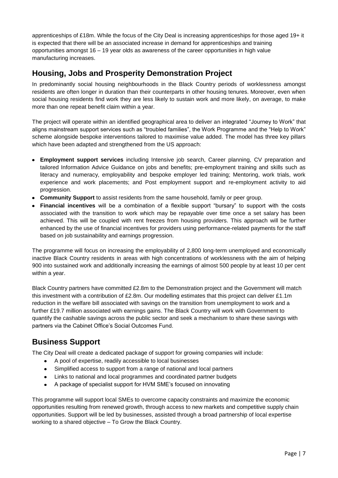apprenticeships of £18m. While the focus of the City Deal is increasing apprenticeships for those aged 19+ it is expected that there will be an associated increase in demand for apprenticeships and training opportunities amongst  $16 - 19$  year olds as awareness of the career opportunities in high value manufacturing increases.

## **Housing, Jobs and Prosperity Demonstration Project**

In predominantly social housing neighbourhoods in the Black Country periods of worklessness amongst residents are often longer in duration than their counterparts in other housing tenures. Moreover, even when social housing residents find work they are less likely to sustain work and more likely, on average, to make more than one repeat benefit claim within a year.

The project will operate within an identified geographical area to deliver an integrated "Journey to Work" that aligns mainstream support services such as "troubled families", the Work Programme and the "Help to Work" scheme alongside bespoke interventions tailored to maximise value added. The model has three key pillars which have been adapted and strengthened from the US approach:

- **Employment support services** including Intensive job search, Career planning, CV preparation and tailored Information Advice Guidance on jobs and benefits; pre-employment training and skills such as literacy and numeracy, employability and bespoke employer led training; Mentoring, work trials, work experience and work placements; and Post employment support and re-employment activity to aid progression.
- **Community Support** to assist residents from the same household, family or peer group.
- **Financial incentives** will be a combination of a flexible support "bursary" to support with the costs associated with the transition to work which may be repayable over time once a set salary has been achieved. This will be coupled with rent freezes from housing providers. This approach will be further enhanced by the use of financial incentives for providers using performance-related payments for the staff based on job sustainability and earnings progression.

The programme will focus on increasing the employability of 2,800 long-term unemployed and economically inactive Black Country residents in areas with high concentrations of worklessness with the aim of helping 900 into sustained work and additionally increasing the earnings of almost 500 people by at least 10 per cent within a year.

Black Country partners have committed £2.8m to the Demonstration project and the Government will match this investment with a contribution of £2.8m. Our modelling estimates that this project can deliver £1.1m reduction in the welfare bill associated with savings on the transition from unemployment to work and a further £19.7 million associated with earnings gains. The Black Country will work with Government to quantify the cashable savings across the public sector and seek a mechanism to share these savings with partners via the Cabinet Office's Social Outcomes Fund.

## **Business Support**

The City Deal will create a dedicated package of support for growing companies will include:

- A pool of expertise, readily accessible to local businesses  $\bullet$
- Simplified access to support from a range of national and local partners
- Links to national and local programmes and coordinated partner budgets  $\bullet$
- A package of specialist support for HVM SME's focused on innovating

This programme will support local SMEs to overcome capacity constraints and maximize the economic opportunities resulting from renewed growth, through access to new markets and competitive supply chain opportunities. Support will be led by businesses, assisted through a broad partnership of local expertise working to a shared objective – To Grow the Black Country.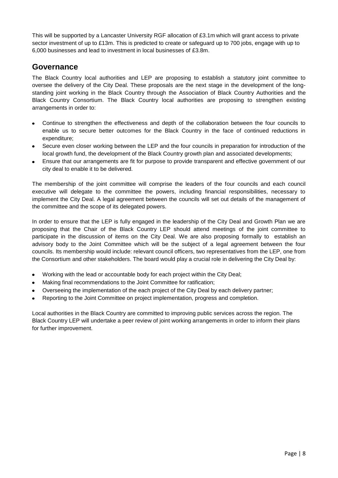This will be supported by a Lancaster University RGF allocation of £3.1m which will grant access to private sector investment of up to £13m. This is predicted to create or safeguard up to 700 jobs, engage with up to 6,000 businesses and lead to investment in local businesses of £3.8m.

### **Governance**

The Black Country local authorities and LEP are proposing to establish a statutory joint committee to oversee the delivery of the City Deal. These proposals are the next stage in the development of the longstanding joint working in the Black Country through the Association of Black Country Authorities and the Black Country Consortium. The Black Country local authorities are proposing to strengthen existing arrangements in order to:

- Continue to strengthen the effectiveness and depth of the collaboration between the four councils to enable us to secure better outcomes for the Black Country in the face of continued reductions in expenditure;
- Secure even closer working between the LEP and the four councils in preparation for introduction of the local growth fund, the development of the Black Country growth plan and associated developments;
- Ensure that our arrangements are fit for purpose to provide transparent and effective government of our city deal to enable it to be delivered.

The membership of the joint committee will comprise the leaders of the four councils and each council executive will delegate to the committee the powers, including financial responsibilities, necessary to implement the City Deal. A legal agreement between the councils will set out details of the management of the committee and the scope of its delegated powers.

In order to ensure that the LEP is fully engaged in the leadership of the City Deal and Growth Plan we are proposing that the Chair of the Black Country LEP should attend meetings of the joint committee to participate in the discussion of items on the City Deal. We are also proposing formally to establish an advisory body to the Joint Committee which will be the subject of a legal agreement between the four councils. Its membership would include: relevant council officers, two representatives from the LEP, one from the Consortium and other stakeholders. The board would play a crucial role in delivering the City Deal by:

- Working with the lead or accountable body for each project within the City Deal;
- Making final recommendations to the Joint Committee for ratification;
- Overseeing the implementation of the each project of the City Deal by each delivery partner;
- Reporting to the Joint Committee on project implementation, progress and completion.

Local authorities in the Black Country are committed to improving public services across the region. The Black Country LEP will undertake a peer review of joint working arrangements in order to inform their plans for further improvement.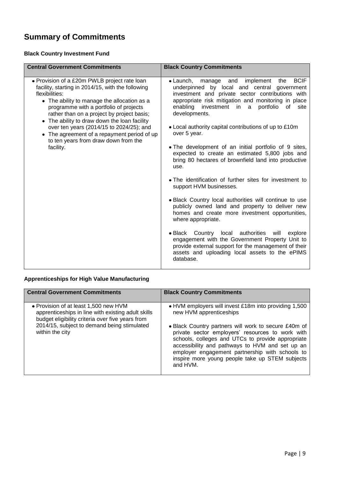# **Summary of Commitments**

#### **Black Country Investment Fund**

| <b>Central Government Commitments</b>                                                                                                                                                                                                                                                                                                                                                                                                                      | <b>Black Country Commitments</b>                                                                                                                                                                                                                                                                                                                                                                                                                                                                                                                                                                                                                                                                                                                                                                                                                                                                                                                                                                                                                                       |
|------------------------------------------------------------------------------------------------------------------------------------------------------------------------------------------------------------------------------------------------------------------------------------------------------------------------------------------------------------------------------------------------------------------------------------------------------------|------------------------------------------------------------------------------------------------------------------------------------------------------------------------------------------------------------------------------------------------------------------------------------------------------------------------------------------------------------------------------------------------------------------------------------------------------------------------------------------------------------------------------------------------------------------------------------------------------------------------------------------------------------------------------------------------------------------------------------------------------------------------------------------------------------------------------------------------------------------------------------------------------------------------------------------------------------------------------------------------------------------------------------------------------------------------|
| • Provision of a £20m PWLB project rate loan<br>facility, starting in 2014/15, with the following<br>flexibilities:<br>• The ability to manage the allocation as a<br>programme with a portfolio of projects<br>rather than on a project by project basis;<br>• The ability to draw down the loan facility<br>over ten years (2014/15 to 2024/25); and<br>• The agreement of a repayment period of up<br>to ten years from draw down from the<br>facility. | <b>BCIF</b><br>implement the<br>$\bullet$ Launch,<br>manage<br>and<br>underpinned by local and central government<br>investment and private sector contributions with<br>appropriate risk mitigation and monitoring in place<br>investment in a<br>portfolio<br>enabling<br>of<br>site<br>developments.<br>• Local authority capital contributions of up to £10m<br>over 5 year.<br>. The development of an initial portfolio of 9 sites,<br>expected to create an estimated 5,800 jobs and<br>bring 80 hectares of brownfield land into productive<br>use.<br>• The identification of further sites for investment to<br>support HVM businesses.<br>. Black Country local authorities will continue to use<br>publicly owned land and property to deliver new<br>homes and create more investment opportunities,<br>where appropriate.<br>• Black Country local authorities will<br>explore<br>engagement with the Government Property Unit to<br>provide external support for the management of their<br>assets and uploading local assets to the ePIMS<br>database. |

#### **Apprenticeships for High Value Manufacturing**

| <b>Central Government Commitments</b>                                                                                                           | <b>Black Country Commitments</b>                                                                                                                                                                                                                                                                                                   |
|-------------------------------------------------------------------------------------------------------------------------------------------------|------------------------------------------------------------------------------------------------------------------------------------------------------------------------------------------------------------------------------------------------------------------------------------------------------------------------------------|
|                                                                                                                                                 |                                                                                                                                                                                                                                                                                                                                    |
| • Provision of at least 1,500 new HVM<br>apprenticeships in line with existing adult skills<br>budget eligibility criteria over five years from | . HVM employers will invest £18m into providing 1,500<br>new HVM apprenticeships                                                                                                                                                                                                                                                   |
| 2014/15, subject to demand being stimulated<br>within the city                                                                                  | • Black Country partners will work to secure £40m of<br>private sector employers' resources to work with<br>schools, colleges and UTCs to provide appropriate<br>accessibility and pathways to HVM and set up an<br>employer engagement partnership with schools to<br>inspire more young people take up STEM subjects<br>and HVM. |